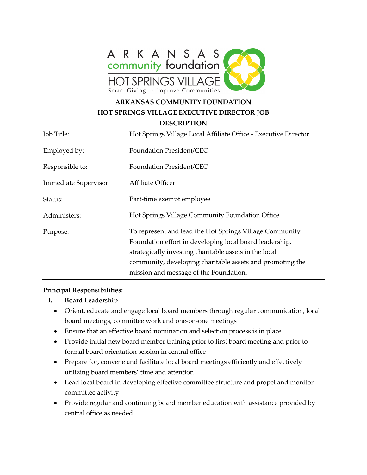

# **ARKANSAS COMMUNITY FOUNDATION HOT SPRINGS VILLAGE EXECUTIVE DIRECTOR JOB**

**DESCRIPTION** 

| Job Title:            | Hot Springs Village Local Affiliate Office - Executive Director                                                                                                                                                                                                                     |
|-----------------------|-------------------------------------------------------------------------------------------------------------------------------------------------------------------------------------------------------------------------------------------------------------------------------------|
| Employed by:          | Foundation President/CEO                                                                                                                                                                                                                                                            |
| Responsible to:       | <b>Foundation President/CEO</b>                                                                                                                                                                                                                                                     |
| Immediate Supervisor: | Affiliate Officer                                                                                                                                                                                                                                                                   |
| Status:               | Part-time exempt employee                                                                                                                                                                                                                                                           |
| Administers:          | Hot Springs Village Community Foundation Office                                                                                                                                                                                                                                     |
| Purpose:              | To represent and lead the Hot Springs Village Community<br>Foundation effort in developing local board leadership,<br>strategically investing charitable assets in the local<br>community, developing charitable assets and promoting the<br>mission and message of the Foundation. |

#### **Principal Responsibilities:**

- **I. Board Leadership**
	- Orient, educate and engage local board members through regular communication, local board meetings, committee work and one-on-one meetings
	- Ensure that an effective board nomination and selection process is in place
	- Provide initial new board member training prior to first board meeting and prior to formal board orientation session in central office
	- Prepare for, convene and facilitate local board meetings efficiently and effectively utilizing board members' time and attention
	- Lead local board in developing effective committee structure and propel and monitor committee activity
	- Provide regular and continuing board member education with assistance provided by central office as needed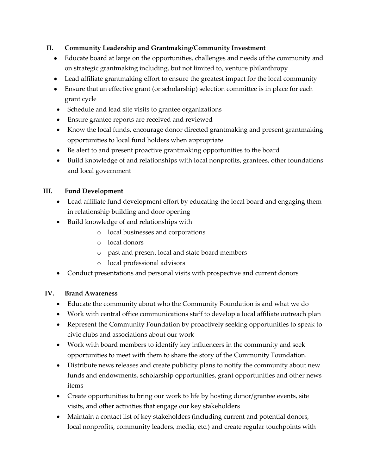# **II. Community Leadership and Grantmaking/Community Investment**

- Educate board at large on the opportunities, challenges and needs of the community and on strategic grantmaking including, but not limited to, venture philanthropy
- Lead affiliate grantmaking effort to ensure the greatest impact for the local community
- Ensure that an effective grant (or scholarship) selection committee is in place for each grant cycle
- Schedule and lead site visits to grantee organizations
- Ensure grantee reports are received and reviewed
- Know the local funds, encourage donor directed grantmaking and present grantmaking opportunities to local fund holders when appropriate
- Be alert to and present proactive grantmaking opportunities to the board
- Build knowledge of and relationships with local nonprofits, grantees, other foundations and local government

## **III. Fund Development**

- Lead affiliate fund development effort by educating the local board and engaging them in relationship building and door opening
- Build knowledge of and relationships with
	- o local businesses and corporations
	- o local donors
	- o past and present local and state board members
	- o local professional advisors
- Conduct presentations and personal visits with prospective and current donors

#### **IV. Brand Awareness**

- Educate the community about who the Community Foundation is and what we do
- Work with central office communications staff to develop a local affiliate outreach plan
- Represent the Community Foundation by proactively seeking opportunities to speak to civic clubs and associations about our work
- Work with board members to identify key influencers in the community and seek opportunities to meet with them to share the story of the Community Foundation.
- Distribute news releases and create publicity plans to notify the community about new funds and endowments, scholarship opportunities, grant opportunities and other news items
- Create opportunities to bring our work to life by hosting donor/grantee events, site visits, and other activities that engage our key stakeholders
- Maintain a contact list of key stakeholders (including current and potential donors, local nonprofits, community leaders, media, etc.) and create regular touchpoints with